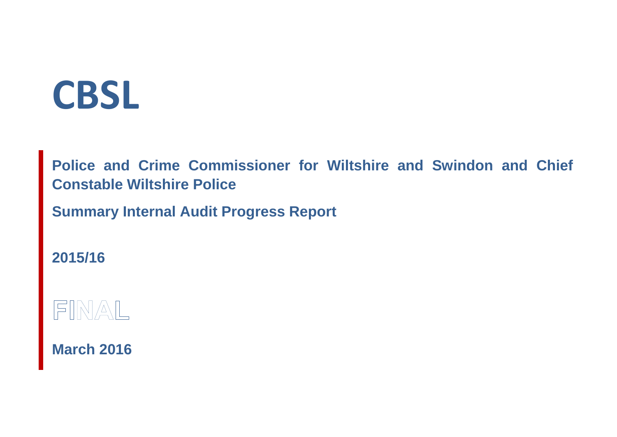# **CBSL**

**Police and Crime Commissioner for Wiltshire and Swindon and Chief Constable Wiltshire Police**

**Summary Internal Audit Progress Report**

**2015/16**

FIN  $\angle \triangle \setminus$ 

**March 2016**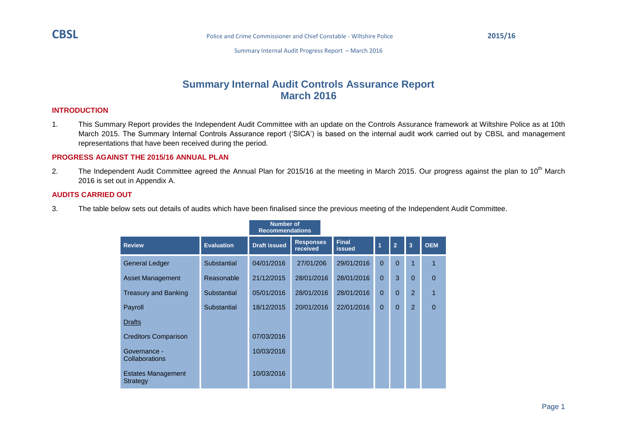## **Summary Internal Audit Controls Assurance Report March 2016**

#### **INTRODUCTION**

1. This Summary Report provides the Independent Audit Committee with an update on the Controls Assurance framework at Wiltshire Police as at 10th March 2015. The Summary Internal Controls Assurance report ('SICA') is based on the internal audit work carried out by CBSL and management representations that have been received during the period.

#### **PROGRESS AGAINST THE 2015/16 ANNUAL PLAN**

2. The Independent Audit Committee agreed the Annual Plan for 2015/16 at the meeting in March 2015. Our progress against the plan to 10<sup>th</sup> March 2016 is set out in Appendix A.

#### **AUDITS CARRIED OUT**

3. The table below sets out details of audits which have been finalised since the previous meeting of the Independent Audit Committee.

|                                       |                   | <b>Number of</b><br><b>Recommendations</b> |                              |                               |          |                |               |                |
|---------------------------------------|-------------------|--------------------------------------------|------------------------------|-------------------------------|----------|----------------|---------------|----------------|
| <b>Review</b>                         | <b>Evaluation</b> | <b>Draft issued</b>                        | <b>Responses</b><br>received | <b>Final</b><br><b>issued</b> | 1        | $\overline{2}$ | 3             | <b>OEM</b>     |
| <b>General Ledger</b>                 | Substantial       | 04/01/2016                                 | 27/01/206                    | 29/01/2016                    | $\Omega$ | $\Omega$       | 1             |                |
| <b>Asset Management</b>               | Reasonable        | 21/12/2015                                 | 28/01/2016                   | 28/01/2016                    | $\Omega$ | 3              | $\Omega$      | $\overline{0}$ |
| <b>Treasury and Banking</b>           | Substantial       | 05/01/2016                                 | 28/01/2016                   | 28/01/2016                    | $\Omega$ | $\Omega$       | 2             |                |
| Payroll                               | Substantial       | 18/12/2015                                 | 20/01/2016                   | 22/01/2016                    | $\Omega$ | $\Omega$       | $\mathcal{P}$ | $\Omega$       |
| <b>Drafts</b>                         |                   |                                            |                              |                               |          |                |               |                |
| <b>Creditors Comparison</b>           |                   | 07/03/2016                                 |                              |                               |          |                |               |                |
| Governance -<br><b>Collaborations</b> |                   | 10/03/2016                                 |                              |                               |          |                |               |                |
| <b>Estates Management</b><br>Strategy |                   | 10/03/2016                                 |                              |                               |          |                |               |                |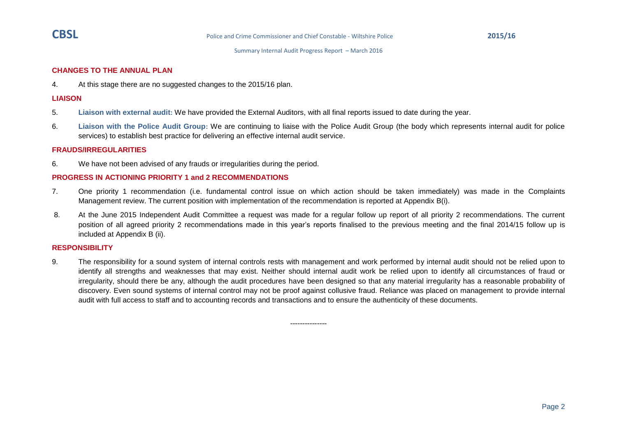

#### **CHANGES TO THE ANNUAL PLAN**

4. At this stage there are no suggested changes to the 2015/16 plan.

#### **LIAISON**

- 5. **Liaison with external audit:** We have provided the External Auditors, with all final reports issued to date during the year.
- 6. **Liaison with the Police Audit Group:** We are continuing to liaise with the Police Audit Group (the body which represents internal audit for police services) to establish best practice for delivering an effective internal audit service.

#### **FRAUDS/IRREGULARITIES**

6. We have not been advised of any frauds or irregularities during the period.

#### **PROGRESS IN ACTIONING PRIORITY 1 and 2 RECOMMENDATIONS**

- 7. One priority 1 recommendation (i.e. fundamental control issue on which action should be taken immediately) was made in the Complaints Management review. The current position with implementation of the recommendation is reported at Appendix B(i).
- 8. At the June 2015 Independent Audit Committee a request was made for a regular follow up report of all priority 2 recommendations. The current position of all agreed priority 2 recommendations made in this year's reports finalised to the previous meeting and the final 2014/15 follow up is included at Appendix B (ii).

#### **RESPONSIBILITY**

9. The responsibility for a sound system of internal controls rests with management and work performed by internal audit should not be relied upon to identify all strengths and weaknesses that may exist. Neither should internal audit work be relied upon to identify all circumstances of fraud or irregularity, should there be any, although the audit procedures have been designed so that any material irregularity has a reasonable probability of discovery. Even sound systems of internal control may not be proof against collusive fraud. Reliance was placed on management to provide internal audit with full access to staff and to accounting records and transactions and to ensure the authenticity of these documents.

---------------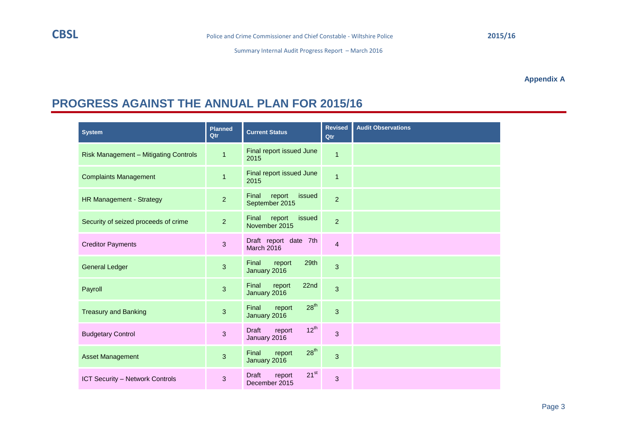**Appendix A**

## **PROGRESS AGAINST THE ANNUAL PLAN FOR 2015/16**

| <b>System</b>                                | <b>Planned</b><br>Qtr | <b>Current Status</b>                                | <b>Revised</b><br>Qtr | <b>Audit Observations</b> |
|----------------------------------------------|-----------------------|------------------------------------------------------|-----------------------|---------------------------|
| <b>Risk Management - Mitigating Controls</b> | $\mathbf 1$           | Final report issued June<br>2015                     | $\overline{1}$        |                           |
| <b>Complaints Management</b>                 | $\mathbf 1$           | Final report issued June<br>2015                     | $\mathbf{1}$          |                           |
| <b>HR Management - Strategy</b>              | $\overline{2}$        | issued<br>Final<br>report<br>September 2015          | $\overline{2}$        |                           |
| Security of seized proceeds of crime         | $\overline{2}$        | Final<br>report<br>issued<br>November 2015           | $\overline{2}$        |                           |
| <b>Creditor Payments</b>                     | 3                     | Draft report date 7th<br>March 2016                  | $\overline{4}$        |                           |
| <b>General Ledger</b>                        | 3                     | Final<br>report<br>29th<br>January 2016              | 3                     |                           |
| Payroll                                      | 3                     | Final<br>report<br>22nd<br>January 2016              | 3                     |                           |
| <b>Treasury and Banking</b>                  | $\sqrt{3}$            | $28^{th}$<br>Final<br>report<br>January 2016         | 3                     |                           |
| <b>Budgetary Control</b>                     | 3                     | $12^{th}$<br><b>Draft</b><br>report<br>January 2016  | 3                     |                           |
| <b>Asset Management</b>                      | 3                     | $28^{th}$<br>Final<br>report<br>January 2016         | 3                     |                           |
| <b>ICT Security - Network Controls</b>       | 3                     | $21^{st}$<br><b>Draft</b><br>report<br>December 2015 | 3                     |                           |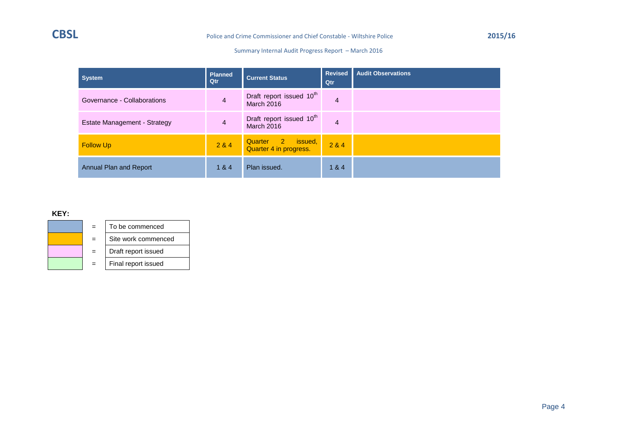| <b>System</b>                | <b>Planned</b><br>Qtr | <b>Current Status</b>                                     | <b>Revised</b><br>Qtr | <b>Audit Observations</b> |
|------------------------------|-----------------------|-----------------------------------------------------------|-----------------------|---------------------------|
| Governance - Collaborations  | $\overline{4}$        | Draft report issued 10 <sup>th</sup><br><b>March 2016</b> | $\overline{4}$        |                           |
| Estate Management - Strategy | $\overline{4}$        | Draft report issued 10 <sup>th</sup><br>March 2016        | 4                     |                           |
| <b>Follow Up</b>             | 2 & 4                 | Quarter 2 issued,<br>Quarter 4 in progress.               | 284                   |                           |
| Annual Plan and Report       | 1 & 4                 | Plan issued.                                              | 1 & 4                 |                           |

### **KEY:**

| $=$ | To be commenced     |
|-----|---------------------|
| $=$ | Site work commenced |
|     | Draft report issued |

 $=$  Final report issued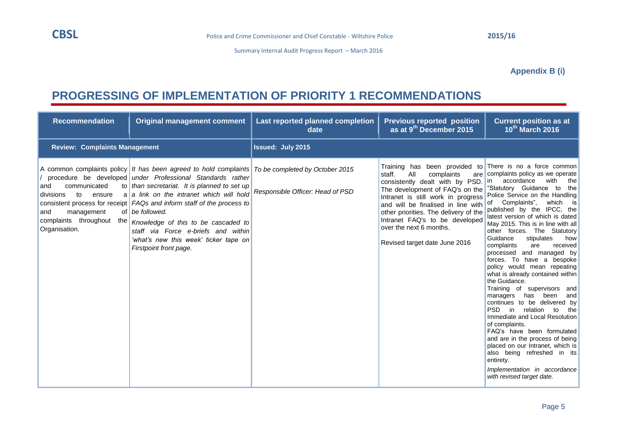**Appendix B (i)**

## **PROGRESSING OF IMPLEMENTATION OF PRIORITY 1 RECOMMENDATIONS**

| <b>Recommendation</b>                                                                                               | <b>Original management comment</b>                                                                                                                                                                                                                                                                                                                                                                                                                                                                                  | Last reported planned completion<br>date | <b>Previous reported position</b><br>as at 9 <sup>th</sup> December 2015                                                                                                                                                                                                                                                                                                                | <b>Current position as at</b><br>$10^{th}$ March 2016                                                                                                                                                                                                                                                                                                                                                                                                                                                                                                                                                                                                                                                                                                                                                                                                                                                                                 |
|---------------------------------------------------------------------------------------------------------------------|---------------------------------------------------------------------------------------------------------------------------------------------------------------------------------------------------------------------------------------------------------------------------------------------------------------------------------------------------------------------------------------------------------------------------------------------------------------------------------------------------------------------|------------------------------------------|-----------------------------------------------------------------------------------------------------------------------------------------------------------------------------------------------------------------------------------------------------------------------------------------------------------------------------------------------------------------------------------------|---------------------------------------------------------------------------------------------------------------------------------------------------------------------------------------------------------------------------------------------------------------------------------------------------------------------------------------------------------------------------------------------------------------------------------------------------------------------------------------------------------------------------------------------------------------------------------------------------------------------------------------------------------------------------------------------------------------------------------------------------------------------------------------------------------------------------------------------------------------------------------------------------------------------------------------|
| <b>Review: Complaints Management</b>                                                                                |                                                                                                                                                                                                                                                                                                                                                                                                                                                                                                                     | <b>Issued: July 2015</b>                 |                                                                                                                                                                                                                                                                                                                                                                                         |                                                                                                                                                                                                                                                                                                                                                                                                                                                                                                                                                                                                                                                                                                                                                                                                                                                                                                                                       |
| communicated<br>and<br>divisions<br>to<br>ensure<br>management<br>and<br>complaints throughout the<br>Organisation. | A common complaints policy   It has been agreed to hold complaints   To be completed by October 2015<br>procedure be developed <i>under</i> Professional Standards rather<br>to than secretariat. It is planned to set up<br>a a link on the intranet which will hold<br>consistent process for receipt FAQs and inform staff of the process to<br>of be followed.<br>Knowledge of this to be cascaded to<br>staff via Force e-briefs and within<br>'what's new this week' ticker tape on<br>Firstpoint front page. | Responsible Officer: Head of PSD         | Training has been provided to There is no a force common<br>All<br>complaints<br>staff.<br>are<br>consistently dealt with by PSD.<br>The development of FAQ's on the<br>Intranet is still work in progress<br>and will be finalised in line with<br>other priorities. The delivery of the<br>Intranet FAQ's to be developed<br>over the next 6 months.<br>Revised target date June 2016 | complaints policy as we operate<br>accordance<br>with<br>the<br>in.<br>"Statutory Guidance to the<br>Police Service on the Handling<br>of Complaints",<br>which is<br>published by the IPCC, the<br>latest version of which is dated<br>May 2015. This is in line with all<br>other forces. The Statutory<br>Guidance<br>stipulates<br>how<br>complaints<br>received<br>are<br>and managed by<br>processed<br>forces. To have a bespoke<br>policy would mean repeating<br>what is already contained within<br>the Guidance.<br>Training of supervisors and<br>and<br>managers<br>has been<br>continues to be delivered by<br><b>PSD</b><br>in relation<br>to<br>the<br>Immediate and Local Resolution<br>of complaints.<br>FAQ's have been formulated<br>and are in the process of being<br>placed on our Intranet, which is<br>also being refreshed in its<br>entirety.<br>Implementation in accordance<br>with revised target date. |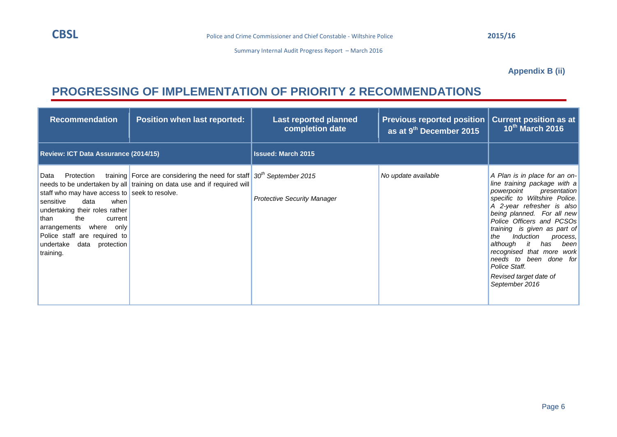**Appendix B (ii)**

## **PROGRESSING OF IMPLEMENTATION OF PRIORITY 2 RECOMMENDATIONS**

| <b>Recommendation</b>                                                                                                                                                                                                                                                      | <b>Position when last reported:</b>                                                                                                                | <b>Last reported planned</b><br>completion date | <b>Previous reported position</b><br>as at 9 <sup>th</sup> December 2015 | <b>Current position as at</b><br>$10^{th}$ March 2016                                                                                                                                                                                                                                                                                                                                                                                         |
|----------------------------------------------------------------------------------------------------------------------------------------------------------------------------------------------------------------------------------------------------------------------------|----------------------------------------------------------------------------------------------------------------------------------------------------|-------------------------------------------------|--------------------------------------------------------------------------|-----------------------------------------------------------------------------------------------------------------------------------------------------------------------------------------------------------------------------------------------------------------------------------------------------------------------------------------------------------------------------------------------------------------------------------------------|
| Review: ICT Data Assurance (2014/15)                                                                                                                                                                                                                                       |                                                                                                                                                    | <b>Issued: March 2015</b>                       |                                                                          |                                                                                                                                                                                                                                                                                                                                                                                                                                               |
| Data<br>Protection<br>staff who may have access to seek to resolve.<br>data<br>when<br>sensitive<br>undertaking their roles rather<br>the<br>than<br>current<br>where only<br>arrangements<br>Police staff are required to<br>data<br>undertake<br>protection<br>training. | training Force are considering the need for staff $30th$ September 2015<br>needs to be undertaken by all training on data use and if required will | <b>Protective Security Manager</b>              | No update available                                                      | A Plan is in place for an on-<br>line training package with a<br>powerpoint<br>presentation<br>specific to Wiltshire Police.<br>A 2-year refresher is also<br>being planned. For all new<br>Police Officers and PCSOs<br>training is given as part of<br>Induction<br>the<br>process,<br>has<br>although<br>it<br>been<br>recognised that more<br>work<br>needs to been done for<br>Police Staff.<br>Revised target date of<br>September 2016 |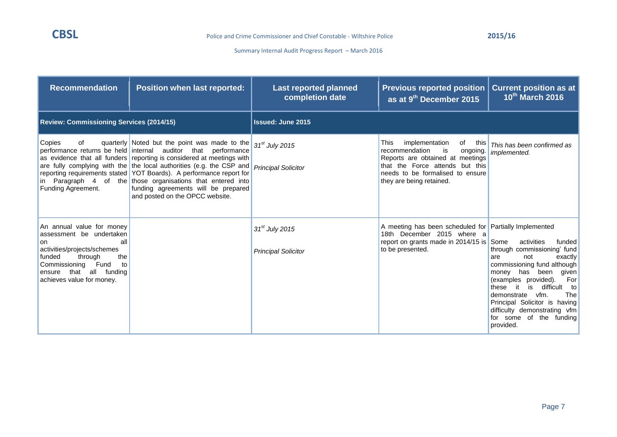| <b>Recommendation</b>                                                                                                                                                                                                          | <b>Position when last reported:</b>                                                                                                                                                                                                                                                                                                                                                                                                                                             | <b>Last reported planned</b><br>completion date | <b>Previous reported position</b><br>as at 9 <sup>th</sup> December 2015                                                                                                                                               | <b>Current position as at</b><br>10th March 2016                                                                                                                                                                                                                                                                                                  |
|--------------------------------------------------------------------------------------------------------------------------------------------------------------------------------------------------------------------------------|---------------------------------------------------------------------------------------------------------------------------------------------------------------------------------------------------------------------------------------------------------------------------------------------------------------------------------------------------------------------------------------------------------------------------------------------------------------------------------|-------------------------------------------------|------------------------------------------------------------------------------------------------------------------------------------------------------------------------------------------------------------------------|---------------------------------------------------------------------------------------------------------------------------------------------------------------------------------------------------------------------------------------------------------------------------------------------------------------------------------------------------|
| <b>Review: Commissioning Services (2014/15)</b>                                                                                                                                                                                |                                                                                                                                                                                                                                                                                                                                                                                                                                                                                 | <b>Issued: June 2015</b>                        |                                                                                                                                                                                                                        |                                                                                                                                                                                                                                                                                                                                                   |
| Copies<br>of<br>Funding Agreement.                                                                                                                                                                                             | quarterly Noted but the point was made to the<br>performance returns be held internal auditor that performance<br>as evidence that all funders reporting is considered at meetings with<br>are fully complying with the the local authorities (e.g. the CSP and<br>reporting requirements stated YOT Boards). A performance report for<br>in Paragraph 4 of the those organisations that entered into<br>funding agreements will be prepared<br>and posted on the OPCC website. | $31st$ July 2015<br><b>Principal Solicitor</b>  | implementation<br><b>This</b><br>of<br>this<br>recommendation<br>is<br>ongoing.<br>Reports are obtained at meetings<br>that the Force attends but this<br>needs to be formalised to ensure<br>they are being retained. | This has been confirmed as<br>implemented.                                                                                                                                                                                                                                                                                                        |
| An annual value for money<br>assessment be undertaken<br>all<br><b>on</b><br>activities/projects/schemes<br>through<br>funded<br>the<br>Commissioning<br>Fund<br>to<br>that all funding<br>ensure<br>achieves value for money. |                                                                                                                                                                                                                                                                                                                                                                                                                                                                                 | $31st$ July 2015<br><b>Principal Solicitor</b>  | A meeting has been scheduled for Partially Implemented<br>18th December 2015 where a<br>report on grants made in 2014/15 is Some<br>to be presented.                                                                   | activities<br>funded<br>through commissioning' fund<br>not<br>exactly<br>are<br>commissioning fund although<br>money has been<br>given<br>(examples provided).<br>For<br>difficult to<br>these it<br>is<br>The<br>demonstrate<br>vfm.<br>Principal Solicitor is having<br>difficulty demonstrating vfm<br>for some of the<br>funding<br>provided. |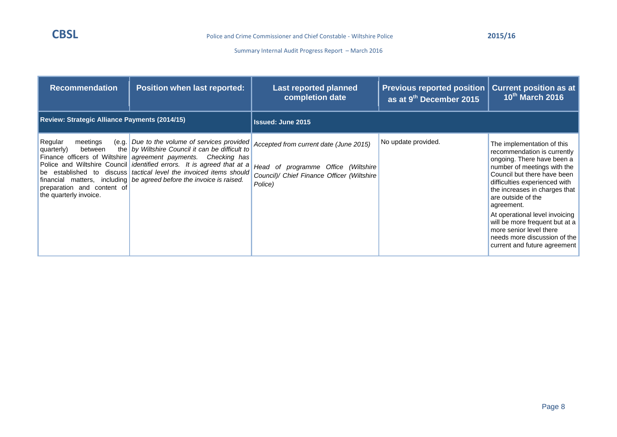| <b>Recommendation</b>                                                                                                     | <b>Position when last reported:</b>                                                                                                                                                                                                                                                                                                                                              | <b>Last reported planned</b><br>completion date                                                                                        | <b>Previous reported position</b><br>as at 9 <sup>th</sup> December 2015 | <b>Current position as at</b><br>10 <sup>th</sup> March 2016                                                                                                                                                                                                                                                                                                                                                               |
|---------------------------------------------------------------------------------------------------------------------------|----------------------------------------------------------------------------------------------------------------------------------------------------------------------------------------------------------------------------------------------------------------------------------------------------------------------------------------------------------------------------------|----------------------------------------------------------------------------------------------------------------------------------------|--------------------------------------------------------------------------|----------------------------------------------------------------------------------------------------------------------------------------------------------------------------------------------------------------------------------------------------------------------------------------------------------------------------------------------------------------------------------------------------------------------------|
| Review: Strategic Alliance Payments (2014/15)                                                                             |                                                                                                                                                                                                                                                                                                                                                                                  | <b>Issued: June 2015</b>                                                                                                               |                                                                          |                                                                                                                                                                                                                                                                                                                                                                                                                            |
| Regular<br>meetings<br>quarterly)<br>between<br>be established to<br>preparation and content of<br>the quarterly invoice. | $(e.g.$ Due to the volume of services provided<br>the by Wiltshire Council it can be difficult to<br>Finance officers of Wiltshire agreement payments. Checking has<br>Police and Wiltshire Council <i>identified errors.</i> It is agreed that at a<br>discuss tactical level the invoiced items should<br>financial matters, including be agreed before the invoice is raised. | Accepted from current date (June 2015)<br>Head of programme Office (Wiltshire<br>Council)/ Chief Finance Officer (Wiltshire<br>Police) | No update provided.                                                      | The implementation of this<br>recommendation is currently<br>ongoing. There have been a<br>number of meetings with the<br>Council but there have been<br>difficulties experienced with<br>the increases in charges that<br>are outside of the<br>agreement.<br>At operational level invoicing<br>will be more frequent but at a<br>more senior level there<br>needs more discussion of the<br>current and future agreement |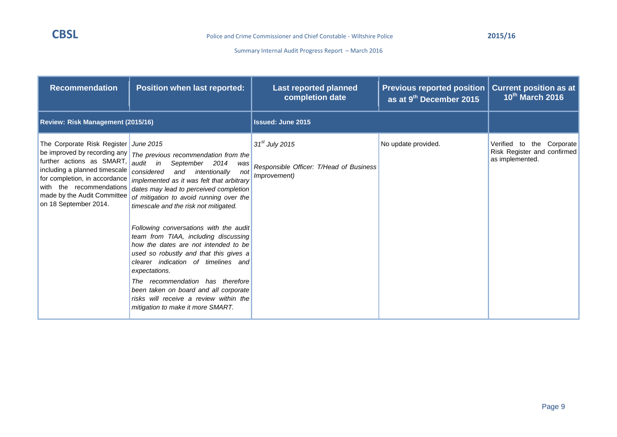| <b>Recommendation</b>                                                                                                                                                                                                                          | <b>Position when last reported:</b>                                                                                                                                                                                                                                                                                                                                                                                                                                                                                                                                                                                                                                                                    | <b>Last reported planned</b><br>completion date                                       | <b>Previous reported position</b><br>as at 9 <sup>th</sup> December 2015 | <b>Current position as at</b><br>$10^{th}$ March 2016                             |
|------------------------------------------------------------------------------------------------------------------------------------------------------------------------------------------------------------------------------------------------|--------------------------------------------------------------------------------------------------------------------------------------------------------------------------------------------------------------------------------------------------------------------------------------------------------------------------------------------------------------------------------------------------------------------------------------------------------------------------------------------------------------------------------------------------------------------------------------------------------------------------------------------------------------------------------------------------------|---------------------------------------------------------------------------------------|--------------------------------------------------------------------------|-----------------------------------------------------------------------------------|
| Review: Risk Management (2015/16)                                                                                                                                                                                                              |                                                                                                                                                                                                                                                                                                                                                                                                                                                                                                                                                                                                                                                                                                        | <b>Issued: June 2015</b>                                                              |                                                                          |                                                                                   |
| The Corporate Risk Register<br>be improved by recording any<br>further actions as SMART,<br>including a planned timescale<br>for completion, in accordance<br>with the recommendations<br>made by the Audit Committee<br>on 18 September 2014. | June 2015<br>The previous recommendation from the<br>audit in<br>September 2014<br>was<br>considered<br>and<br>intentionally<br>not<br>implemented as it was felt that arbitrary<br>dates may lead to perceived completion<br>of mitigation to avoid running over the<br>timescale and the risk not mitigated.<br>Following conversations with the audit<br>team from TIAA, including discussing<br>how the dates are not intended to be<br>used so robustly and that this gives a<br>clearer indication of timelines and<br>expectations.<br>The recommendation has therefore<br>been taken on board and all corporate<br>risks will receive a review within the<br>mitigation to make it more SMART. | 31 <sup>st</sup> July 2015<br>Responsible Officer: T/Head of Business<br>Improvement) | No update provided.                                                      | Verified to<br>Corporate<br>the<br>Risk Register and confirmed<br>as implemented. |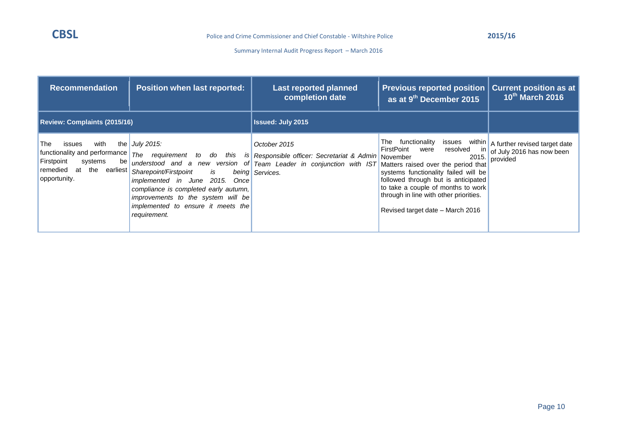| <b>Recommendation</b>                                                                                                                       | <b>Position when last reported:</b>                                                                                                                                                                                                         | <b>Last reported planned</b><br>completion date                                                                                                                                                                           | <b>Previous reported position</b><br>as at 9 <sup>th</sup> December 2015                                                                                                                                                                                            | <b>Current position as at</b><br>10th March 2016                                         |
|---------------------------------------------------------------------------------------------------------------------------------------------|---------------------------------------------------------------------------------------------------------------------------------------------------------------------------------------------------------------------------------------------|---------------------------------------------------------------------------------------------------------------------------------------------------------------------------------------------------------------------------|---------------------------------------------------------------------------------------------------------------------------------------------------------------------------------------------------------------------------------------------------------------------|------------------------------------------------------------------------------------------|
| Review: Complaints (2015/16)                                                                                                                |                                                                                                                                                                                                                                             | <b>Issued: July 2015</b>                                                                                                                                                                                                  |                                                                                                                                                                                                                                                                     |                                                                                          |
| <b>The</b><br>with<br>issues<br>functionality and performance<br>Firstpoint<br>systems<br>be<br>remedied at<br>the earliest<br>opportunity. | the $July 2015$ :<br>The<br>Sharepoint/Firstpoint<br>is<br><i>implemented</i> in June<br>2015.<br>Once<br>compliance is completed early autumn,<br>improvements to the system will be<br>implemented to ensure it meets the<br>requirement. | October 2015<br>requirement to do this is Responsible officer: Secretariat & Admin November<br>understood and a new version of Team Leader in conjunction with IST Matters raised over the period that<br>being Services. | The<br>functionality<br>issues<br>resolved<br>FirstPoint<br>were<br>systems functionality failed will be<br>followed through but is anticipated<br>to take a couple of months to work<br>through in line with other priorities.<br>Revised target date - March 2016 | within   A further revised target date<br>in of July 2016 has now been<br>2015. provided |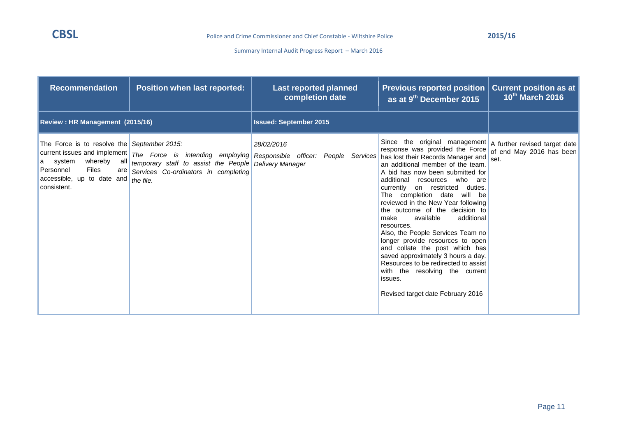| <b>Recommendation</b>                                                                                                                                    | <b>Position when last reported:</b>                                                                        | <b>Last reported planned</b><br>completion date                                                                          | <b>Previous reported position</b><br>as at 9 <sup>th</sup> December 2015                                                                                                                                                                                                                                                                                                                                                                                                                                                                                                                                                                                                                                                         | <b>Current position as at</b><br>10 <sup>th</sup> March 2016 |
|----------------------------------------------------------------------------------------------------------------------------------------------------------|------------------------------------------------------------------------------------------------------------|--------------------------------------------------------------------------------------------------------------------------|----------------------------------------------------------------------------------------------------------------------------------------------------------------------------------------------------------------------------------------------------------------------------------------------------------------------------------------------------------------------------------------------------------------------------------------------------------------------------------------------------------------------------------------------------------------------------------------------------------------------------------------------------------------------------------------------------------------------------------|--------------------------------------------------------------|
| Review: HR Management (2015/16)                                                                                                                          |                                                                                                            | <b>Issued: September 2015</b>                                                                                            |                                                                                                                                                                                                                                                                                                                                                                                                                                                                                                                                                                                                                                                                                                                                  |                                                              |
| The Force is to resolve the September 2015:<br>whereby<br>system<br>all<br>l a<br>Personnel<br>Files<br>are<br>accessible, up to date and<br>consistent. | temporary staff to assist the People Delivery Manager<br>Services Co-ordinators in completing<br>the file. | 28/02/2016<br>current issues and implement $\vert$ The Force is intending employing Responsible officer: People Services | Since the original management $A$ further revised target date<br>response was provided the Force<br>has lost their Records Manager and set.<br>an additional member of the team.<br>A bid has now been submitted for<br>additional resources who are<br>currently on restricted<br>duties.<br>The completion date<br>will be<br>reviewed in the New Year following<br>the outcome of the decision to<br>available<br>additional<br>make<br>resources.<br>Also, the People Services Team no<br>longer provide resources to open<br>and collate the post which has<br>saved approximately 3 hours a day.<br>Resources to be redirected to assist<br>with the resolving the current<br>issues.<br>Revised target date February 2016 | of end May 2016 has been                                     |